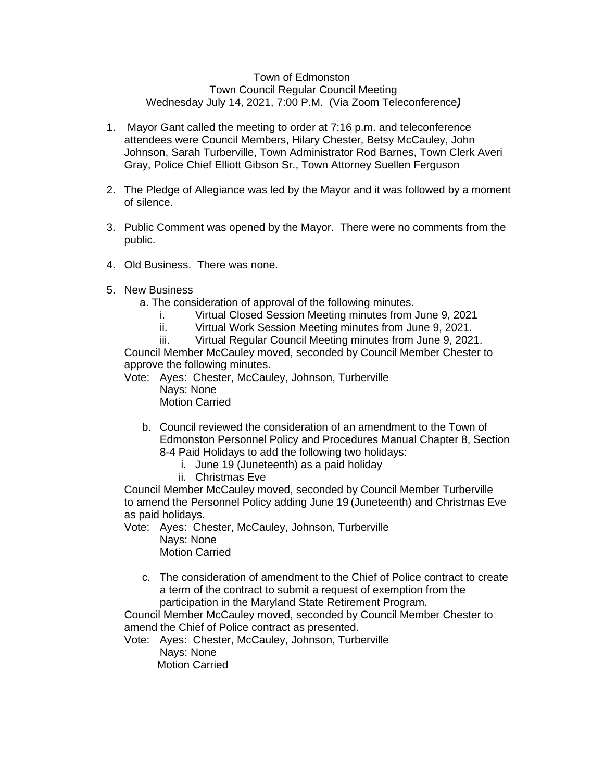## Town of Edmonston Town Council Regular Council Meeting Wednesday July 14, 2021, 7:00 P.M. (Via Zoom Teleconference*)*

- 1. Mayor Gant called the meeting to order at 7:16 p.m. and teleconference attendees were Council Members, Hilary Chester, Betsy McCauley, John Johnson, Sarah Turberville, Town Administrator Rod Barnes, Town Clerk Averi Gray, Police Chief Elliott Gibson Sr., Town Attorney Suellen Ferguson
- 2. The Pledge of Allegiance was led by the Mayor and it was followed by a moment of silence.
- 3. Public Comment was opened by the Mayor. There were no comments from the public.
- 4. Old Business. There was none.
- 5. New Business
	- a. The consideration of approval of the following minutes.
		- i. Virtual Closed Session Meeting minutes from June 9, 2021
		- ii. Virtual Work Session Meeting minutes from June 9, 2021.
		- iii. Virtual Regular Council Meeting minutes from June 9, 2021.

Council Member McCauley moved, seconded by Council Member Chester to approve the following minutes.

- Vote: Ayes: Chester, McCauley, Johnson, Turberville Nays: None Motion Carried
	- b. Council reviewed the consideration of an amendment to the Town of Edmonston Personnel Policy and Procedures Manual Chapter 8, Section 8-4 Paid Holidays to add the following two holidays:
		- i. June 19 (Juneteenth) as a paid holiday
		- ii. Christmas Eve

Council Member McCauley moved, seconded by Council Member Turberville to amend the Personnel Policy adding June 19 (Juneteenth) and Christmas Eve as paid holidays.

- Vote: Ayes: Chester, McCauley, Johnson, Turberville Nays: None
	- Motion Carried
	- c. The consideration of amendment to the Chief of Police contract to create a term of the contract to submit a request of exemption from the participation in the Maryland State Retirement Program.

Council Member McCauley moved, seconded by Council Member Chester to amend the Chief of Police contract as presented.

Vote: Ayes: Chester, McCauley, Johnson, Turberville Nays: None Motion Carried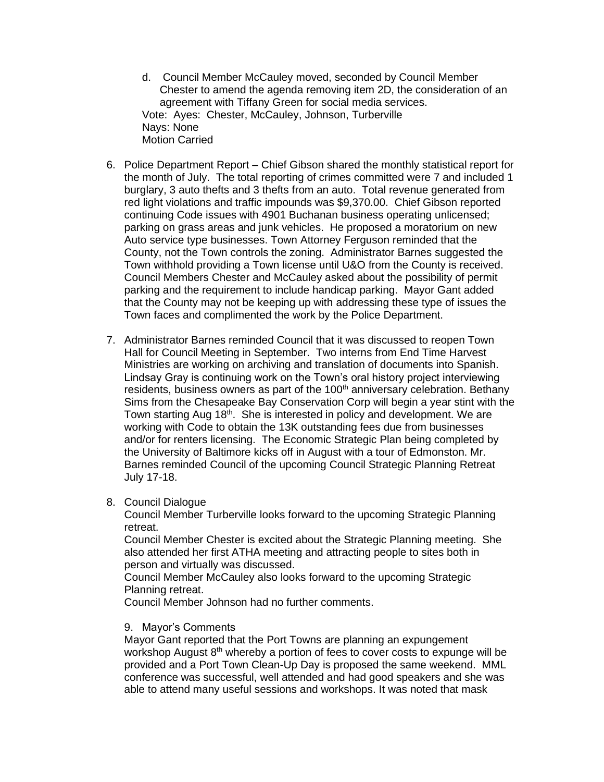- d. Council Member McCauley moved, seconded by Council Member Chester to amend the agenda removing item 2D, the consideration of an agreement with Tiffany Green for social media services. Vote: Ayes: Chester, McCauley, Johnson, Turberville Nays: None Motion Carried
- 6. Police Department Report Chief Gibson shared the monthly statistical report for the month of July. The total reporting of crimes committed were 7 and included 1 burglary, 3 auto thefts and 3 thefts from an auto. Total revenue generated from red light violations and traffic impounds was \$9,370.00. Chief Gibson reported continuing Code issues with 4901 Buchanan business operating unlicensed; parking on grass areas and junk vehicles. He proposed a moratorium on new Auto service type businesses. Town Attorney Ferguson reminded that the County, not the Town controls the zoning. Administrator Barnes suggested the Town withhold providing a Town license until U&O from the County is received. Council Members Chester and McCauley asked about the possibility of permit parking and the requirement to include handicap parking. Mayor Gant added that the County may not be keeping up with addressing these type of issues the Town faces and complimented the work by the Police Department.
- 7. Administrator Barnes reminded Council that it was discussed to reopen Town Hall for Council Meeting in September. Two interns from End Time Harvest Ministries are working on archiving and translation of documents into Spanish. Lindsay Gray is continuing work on the Town's oral history project interviewing residents, business owners as part of the 100<sup>th</sup> anniversary celebration. Bethany Sims from the Chesapeake Bay Conservation Corp will begin a year stint with the Town starting Aug 18<sup>th</sup>. She is interested in policy and development. We are working with Code to obtain the 13K outstanding fees due from businesses and/or for renters licensing. The Economic Strategic Plan being completed by the University of Baltimore kicks off in August with a tour of Edmonston. Mr. Barnes reminded Council of the upcoming Council Strategic Planning Retreat July 17-18.

## 8. Council Dialogue

Council Member Turberville looks forward to the upcoming Strategic Planning retreat.

Council Member Chester is excited about the Strategic Planning meeting. She also attended her first ATHA meeting and attracting people to sites both in person and virtually was discussed.

Council Member McCauley also looks forward to the upcoming Strategic Planning retreat.

Council Member Johnson had no further comments.

## 9. Mayor's Comments

Mayor Gant reported that the Port Towns are planning an expungement workshop August  $8<sup>th</sup>$  whereby a portion of fees to cover costs to expunge will be provided and a Port Town Clean-Up Day is proposed the same weekend. MML conference was successful, well attended and had good speakers and she was able to attend many useful sessions and workshops. It was noted that mask